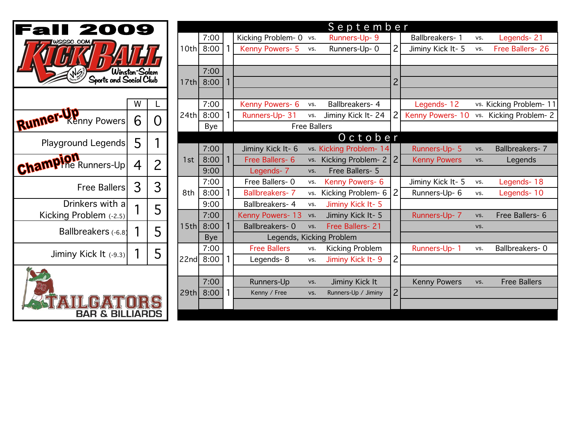| USSSC.COM                                  |      |              | 10th         | 7:00<br>8:00       | 1            |
|--------------------------------------------|------|--------------|--------------|--------------------|--------------|
| Winston-Salem<br>Sports and Social Club    | 17th | 7:00<br>8:00 | $\mathbf{1}$ |                    |              |
|                                            | W    | L            |              | 7:00               |              |
| Runnel<br><b><i><u>Enny</u></i></b> Powers | 6    | O            | 24th         | 8:00<br><b>Bye</b> | 1            |
| <b>Playground Legends</b>                  | 5    | 1            |              | 7:00               |              |
| The Runners-Up<br>Cham                     | 4    | 2            | 1st          | 8:00<br>9:00       | 1            |
| <b>Free Ballers</b>                        | 3    | 3            | 8th          | 7:00<br>8:00       | 1            |
| Drinkers with a<br>Kicking Problem (-2.5)  | 1    | 5            |              | 9:00<br>7:00       | $\mathbf{1}$ |
| Ballbreakers (-6.8)                        | 1    | 5            | 15th         | 8:00<br><b>Bye</b> |              |
| Jiminy Kick It (-9.3)                      | 1    | 5            | 22nd         | 7:00<br>8:00       | 1            |
|                                            |      |              | 29th         | 7:00<br>8:00       | 1            |

| II 2009                                  |                 |                |           | September |                                 |                       |                        |                          |                     |                     |                     |                         |
|------------------------------------------|-----------------|----------------|-----------|-----------|---------------------------------|-----------------------|------------------------|--------------------------|---------------------|---------------------|---------------------|-------------------------|
| WSSSC.COM                                |                 |                | 7:00      |           | Kicking Problem- 0 vs.          |                       | Runners-Up- 9          |                          | Ballbreakers- 1     | VS.                 | Legends-21          |                         |
|                                          |                 |                | 10th 8:00 |           | Kenny Powers- 5                 | VS.                   | Runners-Up-0           | $\overline{2}$           | Jiminy Kick It- 5   | VS.                 | Free Ballers- 26    |                         |
|                                          |                 |                |           |           |                                 |                       |                        |                          |                     |                     |                     |                         |
| 'Winston-Salem<br>Sports and Social Club |                 |                | 7:00      |           |                                 |                       |                        |                          |                     |                     |                     |                         |
|                                          |                 |                | 17th 8:00 |           |                                 |                       |                        | $\overline{2}$           |                     |                     |                     |                         |
|                                          |                 |                |           |           |                                 |                       |                        |                          |                     |                     |                     |                         |
|                                          | W               |                |           | 7:00      |                                 | Kenny Powers- 6       | VS.                    | Ballbreakers- 4          |                     | Legends-12          |                     | vs. Kicking Problem- 11 |
| ner-Kenny Powers                         | 6               | O              | 24th      | 8:00      |                                 | Runners-Up- 31        | VS.                    | Jiminy Kick It-24        |                     | Kenny Powers-10     | VS.                 | Kicking Problem-2       |
|                                          |                 |                |           | Bye       |                                 | <b>Free Ballers</b>   |                        |                          |                     |                     |                     |                         |
| Playground Legends                       | 5               |                |           |           |                                 |                       |                        | October                  |                     |                     |                     |                         |
|                                          |                 |                |           | 7:00      |                                 | Jiminy Kick It- 6     |                        | vs. Kicking Problem- 14  |                     | Runners-Up- 5       | VS.                 | Ballbreakers- 7         |
| <b>MPION</b><br>MPINE Runners-Up         | $\overline{4}$  | $\overline{2}$ | 1st       | 8:00      |                                 | Free Ballers- 6       |                        | vs. Kicking Problem- 2 2 |                     | <b>Kenny Powers</b> | VS.                 | Legends                 |
|                                          |                 |                |           | 9:00      |                                 | Legends- 7            | VS.                    | Free Ballers- 5          |                     |                     |                     |                         |
| Free Ballers                             | 3               | 3              |           | 7:00      |                                 | Free Ballers-0        | Kenny Powers- 6<br>VS. | Jiminy Kick It- 5        | VS.                 | Legends-18          |                     |                         |
|                                          |                 |                | 8th       | 8:00      | 1.                              | <b>Ballbreakers-7</b> | VS.                    | Kicking Problem- 6       | 2                   | Runners-Up- 6       | VS.                 | Legends-10              |
|                                          | Drinkers with a | 5              |           | 9:00      |                                 | Ballbreakers- 4       | vs.                    | Jiminy Kick It-5         |                     |                     |                     |                         |
| Kicking Problem (-2.5)                   |                 |                |           | 7:00      |                                 | Kenny Powers- 13      | vs.                    | Jiminy Kick It- 5        |                     | Runners-Up- 7       | VS.                 | Free Ballers- 6         |
| Ballbreakers (-6.8)                      |                 | 5              | 15th      | 8:00      |                                 | Ballbreakers-0        | vs.                    | Free Ballers- 21         |                     |                     | VS.                 |                         |
|                                          |                 |                |           |           | Legends, Kicking Problem<br>Bye |                       |                        |                          |                     |                     |                     |                         |
| Jiminy Kick It (-9.3)                    |                 | 5              |           | 7:00      |                                 | <b>Free Ballers</b>   | VS.                    | Kicking Problem          |                     | Runners-Up- 1       | VS.                 | Ballbreakers-0          |
|                                          |                 |                |           | 22nd 8:00 | 1                               | Legends-8             | VS.                    | Jiminy Kick It-9         | $\overline{2}$      |                     |                     |                         |
|                                          |                 |                |           |           |                                 |                       |                        |                          |                     |                     |                     |                         |
|                                          |                 |                | 7:00      |           | Runners-Up                      | VS.                   | Jiminy Kick It         |                          | <b>Kenny Powers</b> | VS.                 | <b>Free Ballers</b> |                         |
|                                          |                 | 29th           | 8:00      |           | Kenny / Free                    | VS.                   | Runners-Up / Jiminy    | $\overline{2}$           |                     |                     |                     |                         |
|                                          |                 |                |           |           |                                 |                       |                        |                          |                     |                     |                     |                         |
| <b>BAR &amp; BILLIARDS</b>               |                 |                |           |           |                                 |                       |                        |                          |                     |                     |                     |                         |